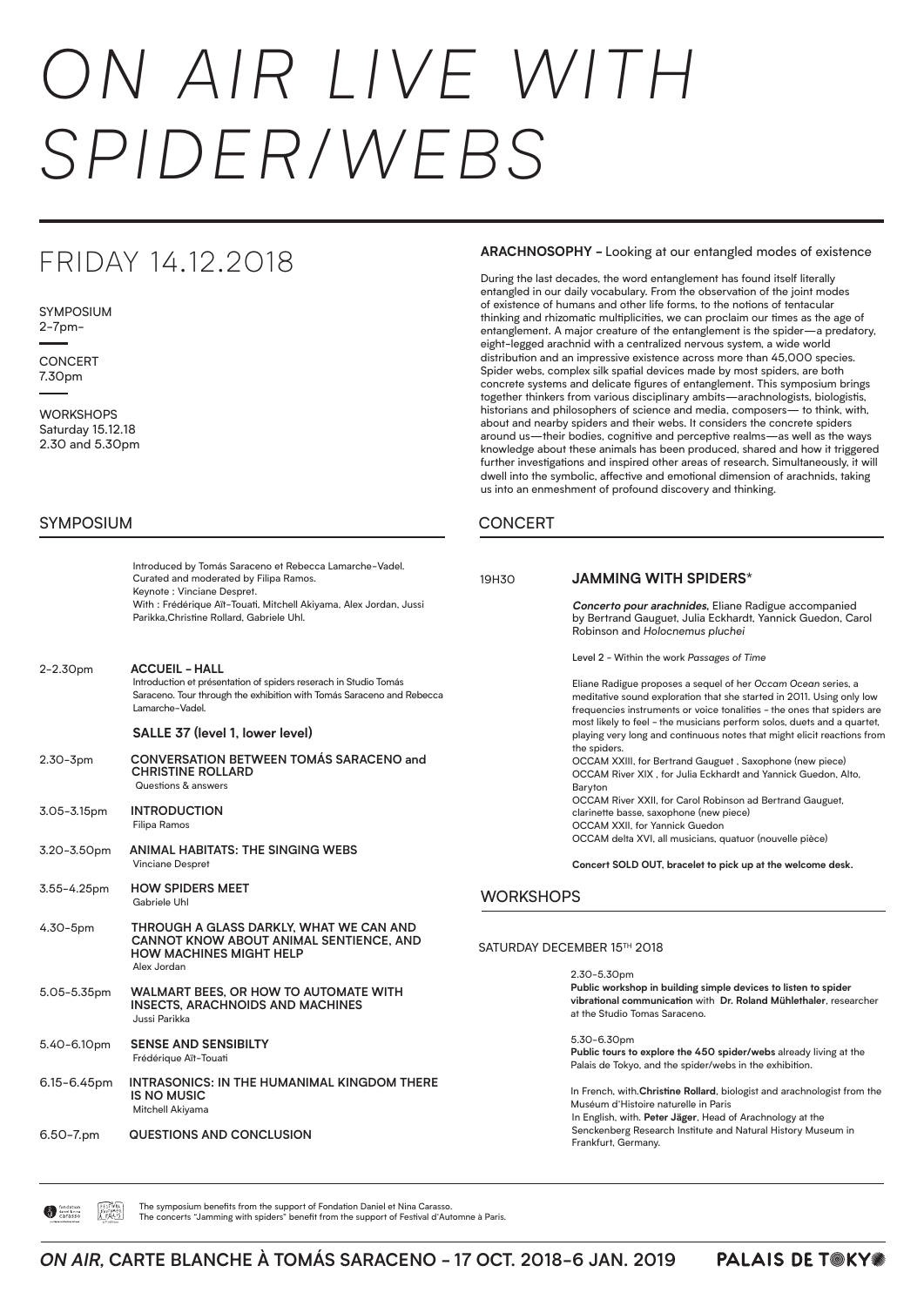# *ON AIR LIVE WITH SPIDER/WEBS*

### **ARACHNOSOPHY -** Looking at our entangled modes of existence

**CONCERT** 7.30pm

During the last decades, the word entanglement has found itself literally entangled in our daily vocabulary. From the observation of the joint modes of existence of humans and other life forms, to the notions of tentacular thinking and rhizomatic multiplicities, we can proclaim our times as the age of entanglement. A major creature of the entanglement is the spider—a predatory, eight-legged arachnid with a centralized nervous system, a wide world distribution and an impressive existence across more than 45,000 species. Spider webs, complex silk spatial devices made by most spiders, are both concrete systems and delicate figures of entanglement. This symposium brings together thinkers from various disciplinary ambits—arachnologists, biologistis, historians and philosophers of science and media, composers— to think, with, about and nearby spiders and their webs. It considers the concrete spiders around us—their bodies, cognitive and perceptive realms—as well as the ways knowledge about these animals has been produced, shared and how it triggered further investigations and inspired other areas of research. Simultaneously, it will dwell into the symbolic, affective and emotional dimension of arachnids, taking us into an enmeshment of profound discovery and thinking.

## **CONCERT**

19H30 **JAMMING WITH SPIDERS\* Concerto pour arachnides,** Eliane Radigue accompanied by Bertrand Gauguet, Julia Eckhardt, Yannick Guedon, Carol Robinson and *Holocnemus pluchei* Level 2 - Within the work *Passages of Time* Eliane Radigue proposes a sequel of her *Occam Ocean* series, a meditative sound exploration that she started in 2011. Using only low frequencies instruments or voice tonalities - the ones that spiders are most likely to feel - the musicians perform solos, duets and a quartet, playing very long and continuous notes that might elicit reactions from the spiders. OCCAM XXIII, for Bertrand Gauguet , Saxophone (new piece) OCCAM River XIX , for Julia Eckhardt and Yannick Guedon, Alto, Baryton OCCAM River XXII, for Carol Robinson ad Bertrand Gauguet, clarinette basse, saxophone (new piece) OCCAM XXII, for Yannick Guedon OCCAM delta XVI, all musicians, quatuor (nouvelle pièce) **Concert SOLD OUT, bracelet to pick up at the welcome desk. WORKSHOPS** 

SATURDAY DECEMBER 15TH 2018

 $2.30 - 5.30$ pm

# FRIDAY 14.12.2018

SYMPOSIUM 2-7pm-

> Introduced by Tomás Saraceno et Rebecca Lamarche-Vadel. Curated and moderated by Filipa Ramos. Keynote : Vinciane Despret. With : Frédérique Aït-Touati, Mitchell Akiyama, Alex Jordan, Jussi Parikka,Christine Rollard, Gabriele Uhl.

2-2.30pm **ACCUEIL - HALL** Introduction et présentation of spiders reserach in Studio Tomás Saraceno. Tour through the exhibition with Tomás Saraceno and Rebecca Lamarche-Vadel.

## **SALLE 37 (level 1, lower level)**

- 2.30-3pm **CONVERSATION BETWEEN TOMÁS SARACENO and CHRISTINE ROLLARD** Questions & answers
- 3.05-3.15pm **INTRODUCTION** Filipa Ramos
- 3.20-3.50pm **ANIMAL HABITATS: THE SINGING WEBS** Vinciane Despret
- 3.55-4.25pm **HOW SPIDERS MEET**  Gabriele Uhl
- 4.30-5pm **THROUGH A GLASS DARKLY, WHAT WE CAN AND CANNOT KNOW ABOUT ANIMAL SENTIENCE, AND HOW MACHINES MIGHT HELP** Alex Jordan

#### ON AIR, CARTE BLANCHE À TOMÁS SARACENO - 17 OCT. 2018-6 JAN. 2019 **PALAIS DE T@KY#** SSADACENO - 17 OCT 2018-6 IAN bags.

## SYMPOSIUM

ON AIR WITH AEROCENE

de Filippi, Stavros Katsanevas, Derek McCormack, Nick Shapiro, Débora Swistun, and Marie

**WORKSHOPS** Saturday 15.12.18 2.30 and 5.30pm

> L'ATELIER DES DES REGARDEURS DES REGARDEURS AND DES REGARDED ON DESCRIPTION POINTS. **Public tours to explore the 450 spider/webs** already living at the

In French, with. Christine Rollard, biologist and arachnologist from the Muséum d'Histoire naturelle in Paris Senckenberg Research Institute and Natural History Museum in In English, with. **Peter Jäger**, Head of Arachnology at the Frankfurt, Germany.

"Canular (Class in French) (Class in French) (Class in French) (Class in French) (Class in French) (Class in F<br>"Class" (Class in French) (Class in French) (Class in French) (Class in French) (Class in French) (Class in Fr

|                                       | fondation<br>daniel & nina<br>carasso | FESTIVAL |
|---------------------------------------|---------------------------------------|----------|
| sous bigide de la fondation de france |                                       |          |

The symposium benefits from the support of Fondation Daniel et Nina Carasso. The concerts "Jamming with spiders" benefit from the support of Festival d'Automne à Paris.

- 5.05-5.35pm **WALMART BEES, OR HOW TO AUTOMATE WITH INSECTS, ARACHNOIDS AND MACHINES** Jussi Parikka
- 5.40-6.10pm **SENSE AND SENSIBILTY**  Frédérique Aït-Touati
- 6.15-6.45pm **INTRASONICS: IN THE HUMANIMAL KINGDOM THERE IS NO MUSIC** Mitchell Akiyama  $d_{\rm max}$  is inviting the visitors to take part in workshops, concerts and seminars that bring that bring that bring that bring the visitors and seminars that bring the visitors of  $\alpha$ LE PALAIS DE TOKYO REMERCIE LES PARTENAIRES DE L'EXPOSITION
- 6.50-7.pm **QUESTIONS AND CONCLUSION** PALAIS DE TOKYO THANKS ITS EXHIBITION PARTNERS

**Public workshop in building simple devices to listen to spider vibrational communication** with **Dr. Roland Mühlethaler**, researcher at the Studio Tomas Saraceno.

5.30-6.30pm